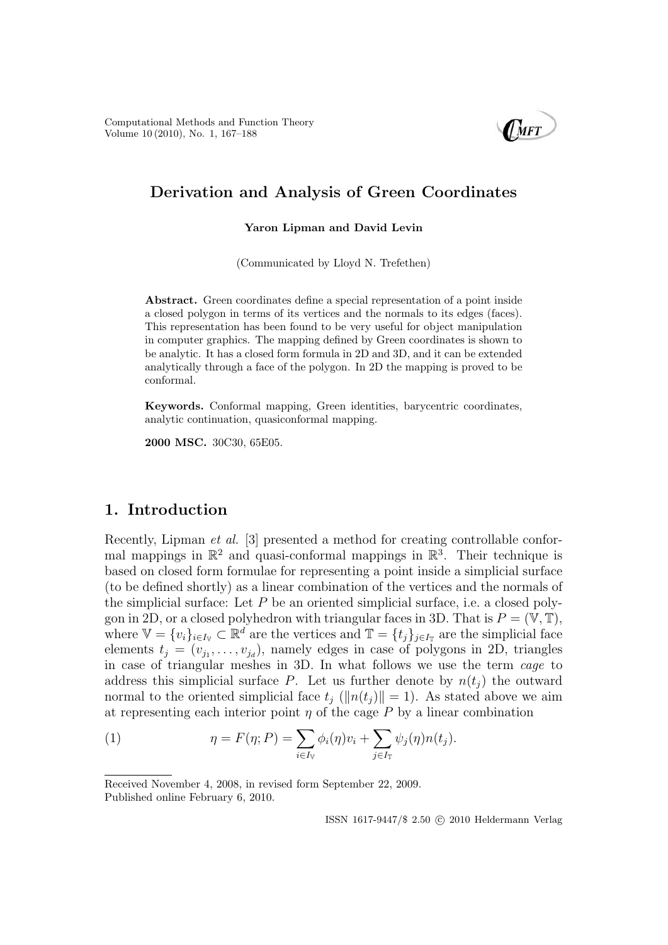Computational Methods and Function Theory Volume 10 (2010), No. 1, 167–188



# **Derivation and Analysis of Green Coordinates**

### **Yaron Lipman and David Levin**

(Communicated by Lloyd N. Trefethen)

Abstract. Green coordinates define a special representation of a point inside a closed polygon in terms of its vertices and the normals to its edges (faces). This representation has been found to be very useful for object manipulation in computer graphics. The mapping defined by Green coordinates is shown to be analytic. It has a closed form formula in 2D and 3D, and it can be extended analytically through a face of the polygon. In 2D the mapping is proved to be conformal.

**Keywords.** Conformal mapping, Green identities, barycentric coordinates, analytic continuation, quasiconformal mapping.

**2000 MSC.** 30C30, 65E05.

# **1. Introduction**

Recently, Lipman et al. [3] presented a method for creating controllable conformal mappings in  $\mathbb{R}^2$  and quasi-conformal mappings in  $\mathbb{R}^3$ . Their technique is based on closed form formulae for representing a point inside a simplicial surface (to be defined shortly) as a linear combination of the vertices and the normals of the simplicial surface: Let  $P$  be an oriented simplicial surface, i.e. a closed polygon in 2D, or a closed polyhedron with triangular faces in 3D. That is  $P = (\mathbb{V}, \mathbb{T}),$ where  $\mathbb{V} = \{v_i\}_{i \in I_V} \subset \mathbb{R}^d$  are the vertices and  $\mathbb{T} = \{t_j\}_{j \in I_T}$  are the simplicial face elements  $t_i = (v_{i_1}, \ldots, v_{i_d})$ , namely edges in case of polygons in 2D, triangles in case of triangular meshes in 3D. In what follows we use the term cage to address this simplicial surface P. Let us further denote by  $n(t_i)$  the outward normal to the oriented simplicial face  $t_i$  ( $||n(t_i)|| = 1$ ). As stated above we aim at representing each interior point  $\eta$  of the cage P by a linear combination

(1) 
$$
\eta = F(\eta; P) = \sum_{i \in I_{\mathbb{V}}} \phi_i(\eta) v_i + \sum_{j \in I_{\mathbb{T}}} \psi_j(\eta) n(t_j).
$$

Received November 4, 2008, in revised form September 22, 2009. Published online February 6, 2010.

 $\text{ISSN}$ 1617-9447/\$ $2.50$   $\odot$   $2010$  Heldermann Verlag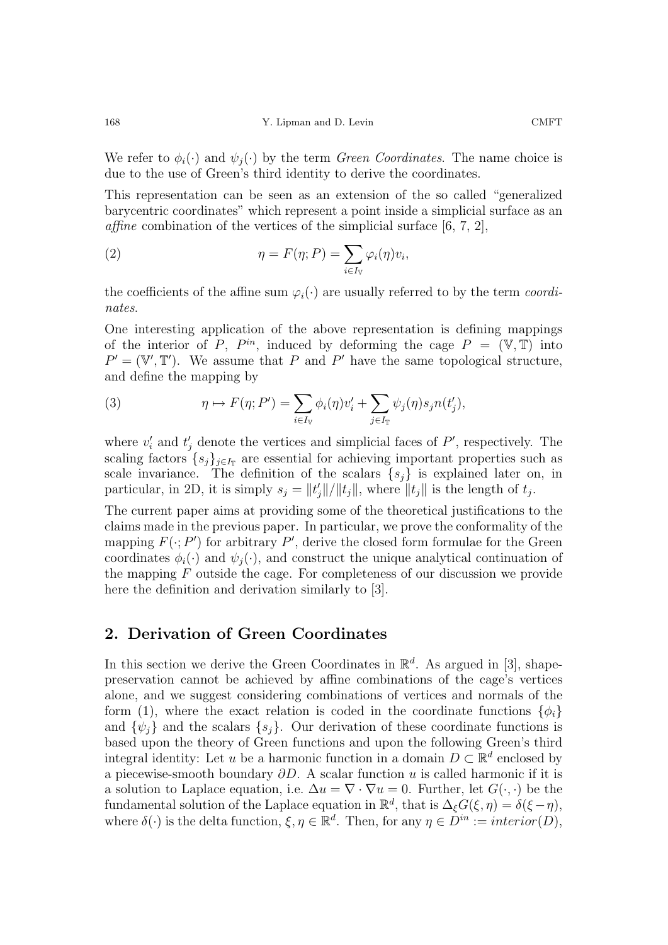We refer to  $\phi_i(\cdot)$  and  $\psi_i(\cdot)$  by the term *Green Coordinates*. The name choice is due to the use of Green's third identity to derive the coordinates.

This representation can be seen as an extension of the so called "generalized barycentric coordinates" which represent a point inside a simplicial surface as an *affine* combination of the vertices of the simplicial surface  $[6, 7, 2]$ ,

(2) 
$$
\eta = F(\eta; P) = \sum_{i \in I_V} \varphi_i(\eta) v_i,
$$

the coefficients of the affine sum  $\varphi_i(\cdot)$  are usually referred to by the term *coordi*nates.

One interesting application of the above representation is defining mappings of the interior of P,  $P^{in}$ , induced by deforming the cage  $P = (\mathbb{V}, \mathbb{T})$  into  $P' = (\mathbb{V}', \mathbb{T}')$ . We assume that P and P' have the same topological structure, and define the mapping by

(3) 
$$
\eta \mapsto F(\eta; P') = \sum_{i \in I_V} \phi_i(\eta) v'_i + \sum_{j \in I_T} \psi_j(\eta) s_j n(t'_j),
$$

where  $v_i'$  and  $t_i'$  denote the vertices and simplicial faces of  $P'$ , respectively. The scaling factors  $\{s_j\}_{j\in I_{\mathbb{T}}}$  are essential for achieving important properties such as scale invariance. The definition of the scalars  $\{s_i\}$  is explained later on, in particular, in 2D, it is simply  $s_j = ||t'_j||/||t_j||$ , where  $||t_j||$  is the length of  $t_j$ .

The current paper aims at providing some of the theoretical justifications to the claims made in the previous paper. In particular, we prove the conformality of the mapping  $F(\cdot; P')$  for arbitrary  $P'$ , derive the closed form formulae for the Green coordinates  $\phi_i(\cdot)$  and  $\psi_i(\cdot)$ , and construct the unique analytical continuation of the mapping  $F$  outside the cage. For completeness of our discussion we provide here the definition and derivation similarly to [3].

### **2. Derivation of Green Coordinates**

In this section we derive the Green Coordinates in  $\mathbb{R}^d$ . As argued in [3], shapepreservation cannot be achieved by affine combinations of the cage's vertices alone, and we suggest considering combinations of vertices and normals of the form (1), where the exact relation is coded in the coordinate functions  $\{\phi_i\}$ and  $\{\psi_j\}$  and the scalars  $\{s_j\}$ . Our derivation of these coordinate functions is based upon the theory of Green functions and upon the following Green's third integral identity: Let u be a harmonic function in a domain  $D \subset \mathbb{R}^d$  enclosed by a piecewise-smooth boundary  $\partial D$ . A scalar function u is called harmonic if it is a solution to Laplace equation, i.e.  $\Delta u = \nabla \cdot \nabla u = 0$ . Further, let  $G(\cdot, \cdot)$  be the fundamental solution of the Laplace equation in  $\mathbb{R}^d$ , that is  $\Delta_{\xi}G(\xi,\eta) = \delta(\xi-\eta)$ , where  $\delta(\cdot)$  is the delta function,  $\xi, \eta \in \mathbb{R}^d$ . Then, for any  $\eta \in D^{in} := interior(D)$ ,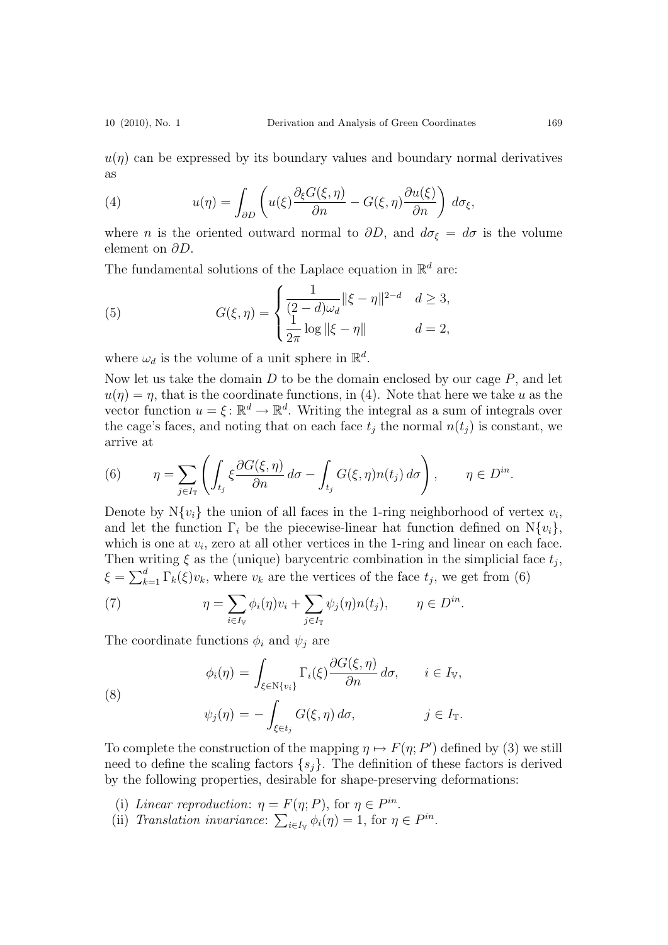$u(\eta)$  can be expressed by its boundary values and boundary normal derivatives as

(4) 
$$
u(\eta) = \int_{\partial D} \left( u(\xi) \frac{\partial_{\xi} G(\xi, \eta)}{\partial n} - G(\xi, \eta) \frac{\partial u(\xi)}{\partial n} \right) d\sigma_{\xi},
$$

where *n* is the oriented outward normal to  $\partial D$ , and  $d\sigma_{\xi} = d\sigma$  is the volume element on  $\partial D$ .

The fundamental solutions of the Laplace equation in  $\mathbb{R}^d$  are:

(5) 
$$
G(\xi, \eta) = \begin{cases} \frac{1}{(2-d)\omega_d} ||\xi - \eta||^{2-d} & d \ge 3, \\ \frac{1}{2\pi} \log ||\xi - \eta|| & d = 2, \end{cases}
$$

where  $\omega_d$  is the volume of a unit sphere in  $\mathbb{R}^d$ .

Now let us take the domain  $D$  to be the domain enclosed by our cage  $P$ , and let  $u(\eta) = \eta$ , that is the coordinate functions, in (4). Note that here we take u as the vector function  $u = \xi : \mathbb{R}^d \to \mathbb{R}^d$ . Writing the integral as a sum of integrals over the cage's faces, and noting that on each face  $t_i$  the normal  $n(t_i)$  is constant, we arrive at

(6) 
$$
\eta = \sum_{j \in I_{\mathbb{T}}} \left( \int_{t_j} \xi \frac{\partial G(\xi, \eta)}{\partial n} d\sigma - \int_{t_j} G(\xi, \eta) n(t_j) d\sigma \right), \qquad \eta \in D^{in}.
$$

Denote by  $N{v_i}$  the union of all faces in the 1-ring neighborhood of vertex  $v_i$ , and let the function  $\Gamma_i$  be the piecewise-linear hat function defined on  $N\{v_i\}$ , which is one at  $v_i$ , zero at all other vertices in the 1-ring and linear on each face. Then writing  $\xi$  as the (unique) barycentric combination in the simplicial face  $t_i$ ,  $\xi = \sum_{k=1}^d \Gamma_k(\xi)v_k$ , where  $v_k$  are the vertices of the face  $t_j$ , we get from (6)

(7) 
$$
\eta = \sum_{i \in I_{\mathbb{V}}} \phi_i(\eta) v_i + \sum_{j \in I_{\mathbb{T}}} \psi_j(\eta) n(t_j), \qquad \eta \in D^{in}.
$$

The coordinate functions  $\phi_i$  and  $\psi_j$  are

(8)  

$$
\phi_i(\eta) = \int_{\xi \in \mathbb{N}\{v_i\}} \Gamma_i(\xi) \frac{\partial G(\xi, \eta)}{\partial n} d\sigma, \qquad i \in I_{\mathbb{V}},
$$

$$
\psi_j(\eta) = -\int_{\xi \in t_j} G(\xi, \eta) d\sigma, \qquad j \in I_{\mathbb{T}}.
$$

To complete the construction of the mapping  $\eta \mapsto F(\eta; P')$  defined by (3) we still need to define the scaling factors  $\{s_i\}$ . The definition of these factors is derived by the following properties, desirable for shape-preserving deformations:

- (i) Linear reproduction:  $\eta = F(\eta; P)$ , for  $\eta \in P^{in}$ .
- (ii) Translation invariance:  $\sum_{i \in I_V} \phi_i(\eta) = 1$ , for  $\eta \in P^{in}$ .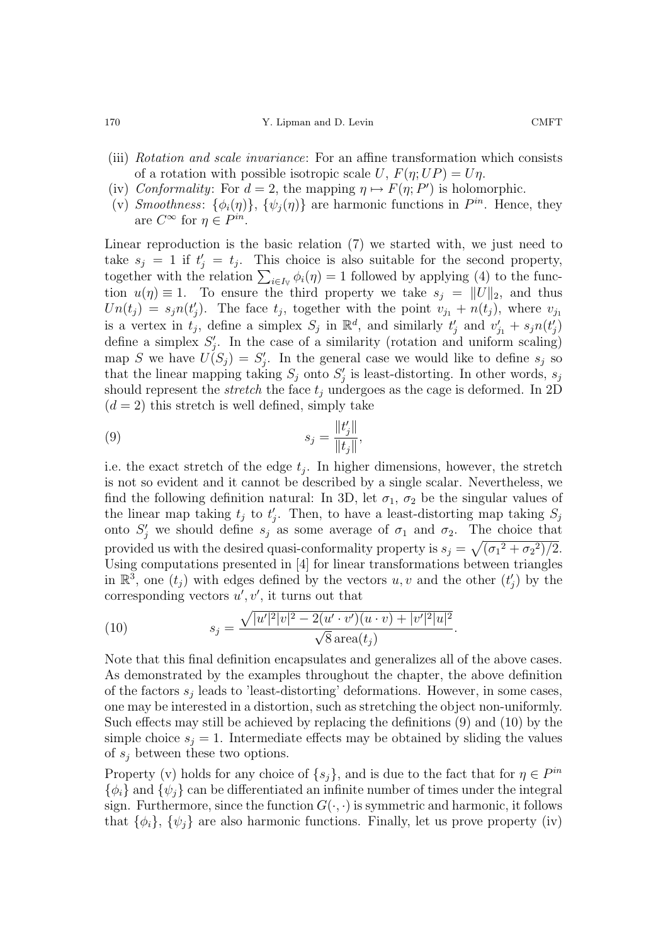170 ST. Lipman and D. Levin COMFT

- (iii) Rotation and scale invariance: For an affine transformation which consists of a rotation with possible isotropic scale U,  $F(\eta; UP) = U\eta$ .
- (iv) Conformality: For  $d = 2$ , the mapping  $\eta \mapsto F(\eta; P')$  is holomorphic.
- (v) Smoothness:  $\{\phi_i(\eta)\}\$ ,  $\{\psi_i(\eta)\}\$ are harmonic functions in  $P^{in}$ . Hence, they are  $C^{\infty}$  for  $\eta \in P^{in}$ .

Linear reproduction is the basic relation (7) we started with, we just need to take  $s_i = 1$  if  $t'_i = t_i$ . This choice is also suitable for the second property, together with the relation  $\sum_{i\in I_V} \phi_i(\eta) = 1$  followed by applying (4) to the function  $u(\eta) \equiv 1$ . To ensure the third property we take  $s_i = ||U||_2$ , and thus  $Un(t_j) = s_j n(t'_j)$ . The face  $t_j$ , together with the point  $v_{j_1} + n(t_j)$ , where  $v_{j_1}$ is a vertex in  $t_j$ , define a simplex  $S_j$  in  $\mathbb{R}^d$ , and similarly  $t'_j$  and  $v'_{j1} + s_j n(t'_j)$ define a simplex  $S_i'$ . In the case of a similarity (rotation and uniform scaling) map S we have  $\overrightarrow{U}(S_i) = S'_i$ . In the general case we would like to define  $s_i$  so that the linear mapping taking  $S_j$  onto  $S'_j$  is least-distorting. In other words,  $s_j$ should represent the *stretch* the face  $t_j$  undergoes as the cage is deformed. In 2D  $(d = 2)$  this stretch is well defined, simply take

(9) 
$$
s_j = \frac{\|t'_j\|}{\|t_j\|},
$$

i.e. the exact stretch of the edge  $t_i$ . In higher dimensions, however, the stretch is not so evident and it cannot be described by a single scalar. Nevertheless, we find the following definition natural: In 3D, let  $\sigma_1$ ,  $\sigma_2$  be the singular values of the linear map taking  $t_j$  to  $t'_j$ . Then, to have a least-distorting map taking  $S_j$ onto  $S_i'$  we should define  $s_j$  as some average of  $\sigma_1$  and  $\sigma_2$ . The choice that provided us with the desired quasi-conformality property is  $s_j = \sqrt{(\sigma_1^2 + \sigma_2^2)/2}$ . Using computations presented in [4] for linear transformations between triangles in  $\mathbb{R}^3$ , one  $(t_j)$  with edges defined by the vectors u, v and the other  $(t'_j)$  by the corresponding vectors  $u', v'$ , it turns out that

(10) 
$$
s_j = \frac{\sqrt{|u'|^2|v|^2 - 2(u' \cdot v')(u \cdot v) + |v'|^2|u|^2}}{\sqrt{8}\operatorname{area}(t_j)}.
$$

Note that this final definition encapsulates and generalizes all of the above cases. As demonstrated by the examples throughout the chapter, the above definition of the factors  $s_i$  leads to 'least-distorting' deformations. However, in some cases, one may be interested in a distortion, such as stretching the object non-uniformly. Such effects may still be achieved by replacing the definitions (9) and (10) by the simple choice  $s_i = 1$ . Intermediate effects may be obtained by sliding the values of  $s_i$  between these two options.

Property (v) holds for any choice of  $\{s_i\}$ , and is due to the fact that for  $\eta \in P^{in}$  $\{\phi_i\}$  and  $\{\psi_j\}$  can be differentiated an infinite number of times under the integral sign. Furthermore, since the function  $G(\cdot, \cdot)$  is symmetric and harmonic, it follows that  $\{\phi_i\}$ ,  $\{\psi_j\}$  are also harmonic functions. Finally, let us prove property (iv)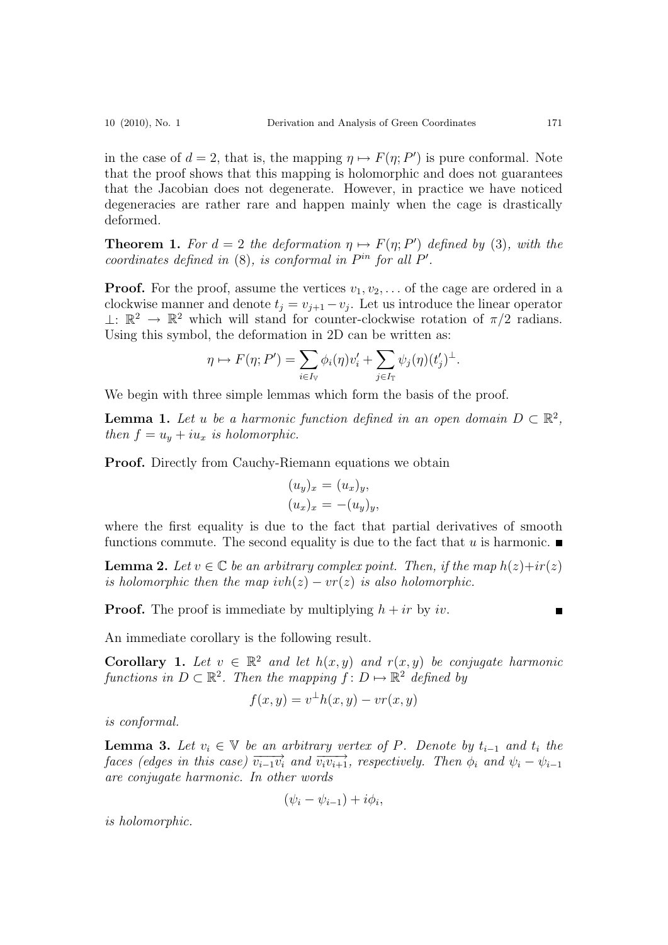in the case of  $d = 2$ , that is, the mapping  $\eta \mapsto F(\eta; P')$  is pure conformal. Note that the proof shows that this mapping is holomorphic and does not guarantees that the Jacobian does not degenerate. However, in practice we have noticed degeneracies are rather rare and happen mainly when the cage is drastically deformed.

**Theorem 1.** For  $d = 2$  the deformation  $\eta \mapsto F(\eta; P')$  defined by (3), with the coordinates defined in  $(8)$ , is conformal in  $P^{in}$  for all  $P'$ .

**Proof.** For the proof, assume the vertices  $v_1, v_2, \ldots$  of the cage are ordered in a clockwise manner and denote  $t_j = v_{j+1} - v_j$ . Let us introduce the linear operator  $⊥: \mathbb{R}^2 \to \mathbb{R}^2$  which will stand for counter-clockwise rotation of π/2 radians. Using this symbol, the deformation in 2D can be written as:

$$
\eta \mapsto F(\eta; P') = \sum_{i \in I_V} \phi_i(\eta) v'_i + \sum_{j \in I_T} \psi_j(\eta) (t'_j)^{\perp}.
$$

We begin with three simple lemmas which form the basis of the proof.

**Lemma 1.** Let u be a harmonic function defined in an open domain  $D \subset \mathbb{R}^2$ , then  $f = u_y + i u_x$  is holomorphic.

**Proof.** Directly from Cauchy-Riemann equations we obtain

$$
(u_y)_x = (u_x)_y,
$$
  

$$
(u_x)_x = -(u_y)_y,
$$

where the first equality is due to the fact that partial derivatives of smooth functions commute. The second equality is due to the fact that u is harmonic.

**Lemma 2.** Let  $v \in \mathbb{C}$  be an arbitrary complex point. Then, if the map  $h(z)+ir(z)$ is holomorphic then the map  $ivh(z) - vr(z)$  is also holomorphic.

**Proof.** The proof is immediate by multiplying  $h + ir$  by iv.

An immediate corollary is the following result.

**Corollary 1.** Let  $v \in \mathbb{R}^2$  and let  $h(x, y)$  and  $r(x, y)$  be conjugate harmonic functions in  $D \subset \mathbb{R}^2$ . Then the mapping  $f: D \mapsto \mathbb{R}^2$  defined by

$$
f(x, y) = v^{\perp}h(x, y) - vr(x, y)
$$

is conformal.

**Lemma 3.** Let  $v_i \in V$  be an arbitrary vertex of P. Denote by  $t_{i-1}$  and  $t_i$  the faces (edges in this case)  $\overrightarrow{v_{i-1}v_i}$  and  $\overrightarrow{v_iv_{i+1}}$ , respectively. Then  $\phi_i$  and  $\psi_i - \psi_{i-1}$ are conjugate harmonic. In other words

$$
(\psi_i - \psi_{i-1}) + i\phi_i,
$$

is holomorphic.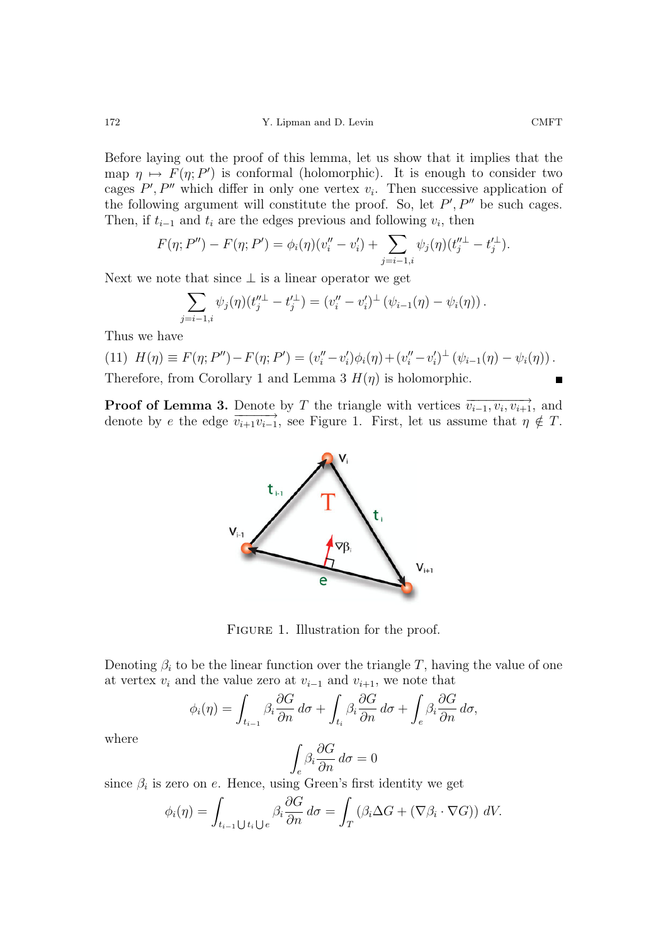Before laying out the proof of this lemma, let us show that it implies that the map  $\eta \mapsto F(\eta; P')$  is conformal (holomorphic). It is enough to consider two cages  $P', P''$  which differ in only one vertex  $v_i$ . Then successive application of the following argument will constitute the proof. So, let  $P', P''$  be such cages. Then, if  $t_{i-1}$  and  $t_i$  are the edges previous and following  $v_i$ , then

$$
F(\eta; P'') - F(\eta; P') = \phi_i(\eta)(v_i'' - v_i') + \sum_{j=i-1, i} \psi_j(\eta)(t_j'' - t_j').
$$

Next we note that since  $\perp$  is a linear operator we get

$$
\sum_{j=i-1,i} \psi_j(\eta)(t_j''^{\perp} - t_j'^{\perp}) = (v_i'' - v_i')^{\perp} (\psi_{i-1}(\eta) - \psi_i(\eta)).
$$

Thus we have

(11) 
$$
H(\eta) \equiv F(\eta; P'') - F(\eta; P') = (v_i'' - v_i')\phi_i(\eta) + (v_i'' - v_i')^{\perp} (\psi_{i-1}(\eta) - \psi_i(\eta))
$$
. Therefore, from Corollary 1 and Lemma 3  $H(\eta)$  is holomorphic.

**Proof of Lemma 3.** Denote by T the triangle with vertices  $\overrightarrow{v_{i-1}, v_i, v_{i+1}}$ , and denote by e the edge  $\overrightarrow{v_{i+1}v_{i-1}}$ , see Figure 1. First, let us assume that  $\eta \notin T$ .



FIGURE 1. Illustration for the proof.

Denoting  $\beta_i$  to be the linear function over the triangle T, having the value of one at vertex  $v_i$  and the value zero at  $v_{i-1}$  and  $v_{i+1}$ , we note that

$$
\phi_i(\eta) = \int_{t_{i-1}} \beta_i \frac{\partial G}{\partial n} d\sigma + \int_{t_i} \beta_i \frac{\partial G}{\partial n} d\sigma + \int_e \beta_i \frac{\partial G}{\partial n} d\sigma,
$$

where

$$
\int_e \beta_i \frac{\partial G}{\partial n} \, d\sigma = 0
$$

since  $\beta_i$  is zero on e. Hence, using Green's first identity we get

$$
\phi_i(\eta) = \int_{t_{i-1} \cup t_i \cup e} \beta_i \frac{\partial G}{\partial n} d\sigma = \int_T (\beta_i \Delta G + (\nabla \beta_i \cdot \nabla G)) dV.
$$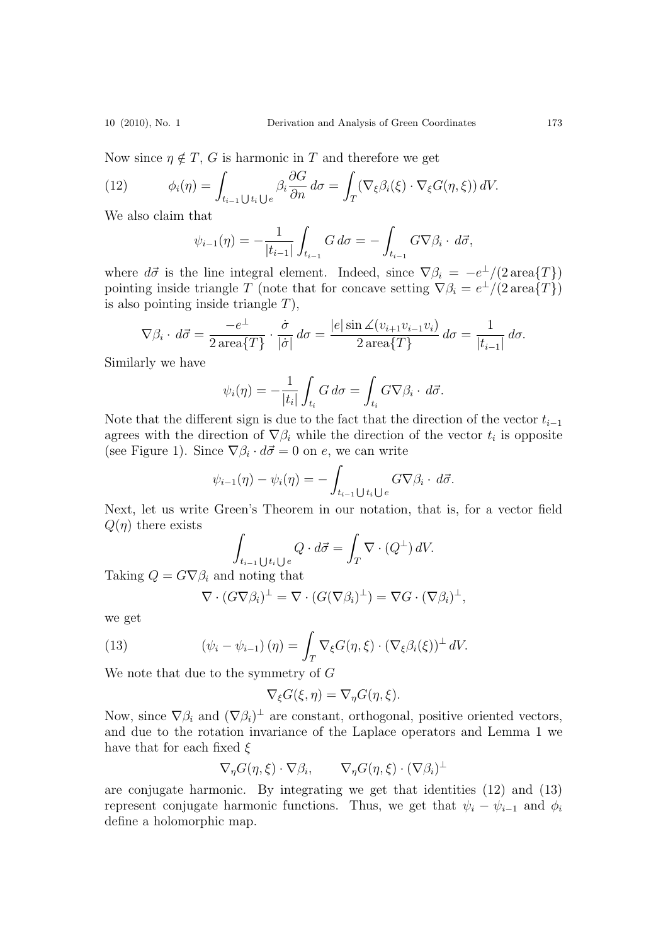Now since  $\eta \notin T$ , G is harmonic in T and therefore we get

(12) 
$$
\phi_i(\eta) = \int_{t_{i-1} \cup t_i \cup e} \beta_i \frac{\partial G}{\partial n} d\sigma = \int_T (\nabla_{\xi} \beta_i(\xi) \cdot \nabla_{\xi} G(\eta, \xi)) dV.
$$

We also claim that

$$
\psi_{i-1}(\eta) = -\frac{1}{|t_{i-1}|} \int_{t_{i-1}} G \, d\sigma = -\int_{t_{i-1}} G \nabla \beta_i \cdot d\vec{\sigma},
$$

where  $d\vec{\sigma}$  is the line integral element. Indeed, since  $\nabla \beta_i = -e^{\perp}/(2 \operatorname{area} \{T\})$ pointing inside triangle T (note that for concave setting  $\nabla \beta_i = e^{\perp}/(2 \operatorname{area} \{T\})$ is also pointing inside triangle  $T$ ),

$$
\nabla \beta_i \cdot d\vec{\sigma} = \frac{-e^{\perp}}{2 \operatorname{area} \{T\}} \cdot \frac{\dot{\sigma}}{|\dot{\sigma}|} d\sigma = \frac{|e| \sin \angle (v_{i+1}v_{i-1}v_i)}{2 \operatorname{area} \{T\}} d\sigma = \frac{1}{|t_{i-1}|} d\sigma.
$$

Similarly we have

$$
\psi_i(\eta) = -\frac{1}{|t_i|} \int_{t_i} G \, d\sigma = \int_{t_i} G \nabla \beta_i \cdot d\vec{\sigma}.
$$

Note that the different sign is due to the fact that the direction of the vector  $t_{i-1}$ agrees with the direction of  $\nabla \beta_i$  while the direction of the vector  $t_i$  is opposite (see Figure 1). Since  $\nabla \beta_i \cdot d\vec{\sigma} = 0$  on e, we can write

$$
\psi_{i-1}(\eta) - \psi_i(\eta) = -\int_{t_{i-1} \bigcup t_i \bigcup e} G \nabla \beta_i \cdot d\vec{\sigma}.
$$

Next, let us write Green's Theorem in our notation, that is, for a vector field  $Q(\eta)$  there exists

$$
\int_{t_{i-1}\bigcup t_i\bigcup e} Q \cdot d\vec{\sigma} = \int_T \nabla \cdot (Q^{\perp}) dV.
$$

Taking  $Q = G \nabla \beta_i$  and noting that

$$
\nabla \cdot (G \nabla \beta_i)^{\perp} = \nabla \cdot (G (\nabla \beta_i)^{\perp}) = \nabla G \cdot (\nabla \beta_i)^{\perp},
$$

we get

(13) 
$$
(\psi_i - \psi_{i-1})(\eta) = \int_T \nabla_{\xi} G(\eta, \xi) \cdot (\nabla_{\xi} \beta_i(\xi))^{\perp} dV.
$$

We note that due to the symmetry of G

$$
\nabla_{\xi} G(\xi, \eta) = \nabla_{\eta} G(\eta, \xi).
$$

Now, since  $\nabla \beta_i$  and  $(\nabla \beta_i)^{\perp}$  are constant, orthogonal, positive oriented vectors, and due to the rotation invariance of the Laplace operators and Lemma 1 we have that for each fixed  $\xi$ 

$$
\nabla_{\eta} G(\eta,\xi) \cdot \nabla \beta_i, \qquad \nabla_{\eta} G(\eta,\xi) \cdot (\nabla \beta_i)^{\perp}
$$

are conjugate harmonic. By integrating we get that identities (12) and (13) represent conjugate harmonic functions. Thus, we get that  $\psi_i - \psi_{i-1}$  and  $\phi_i$ define a holomorphic map.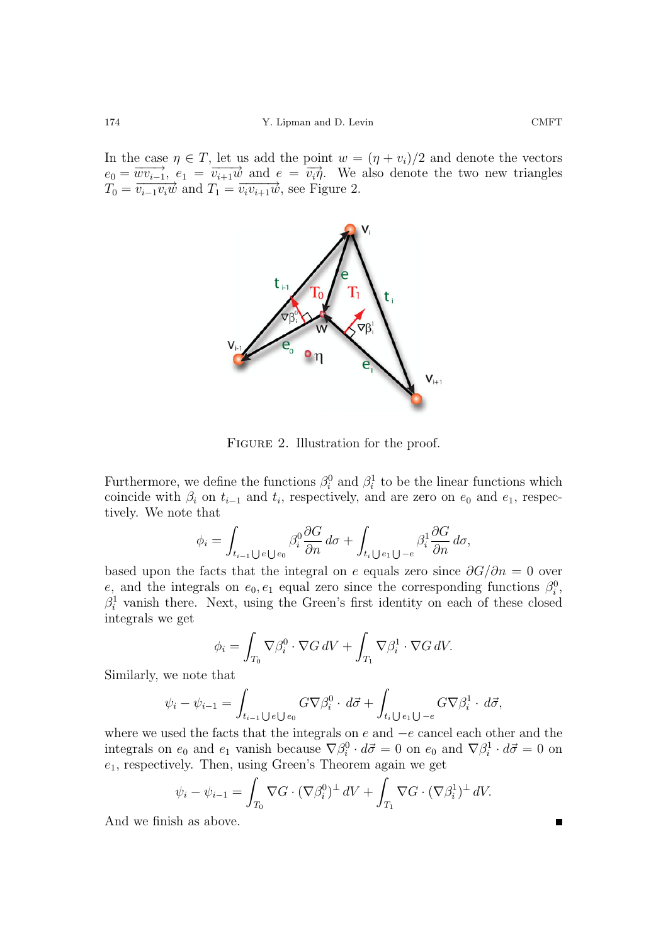In the case  $\eta \in T$ , let us add the point  $w = (\eta + v_i)/2$  and denote the vectors  $e_0 = \overrightarrow{wv_{i-1}}, e_1 = \overrightarrow{v_{i+1}w}$  and  $e = \overrightarrow{v_i\eta}$ . We also denote the two new triangles  $T_0 = \overrightarrow{v_{i-1}v_i w}$  and  $T_1 = \overrightarrow{v_i v_{i+1} w}$ , see Figure 2.



FIGURE 2. Illustration for the proof.

Furthermore, we define the functions  $\beta_i^0$  and  $\beta_i^1$  to be the linear functions which coincide with  $\beta_i$  on  $t_{i-1}$  and  $t_i$ , respectively, and are zero on  $e_0$  and  $e_1$ , respectively. We note that

$$
\phi_i = \int_{t_{i-1} \cup e \cup e_0} \beta_i^0 \frac{\partial G}{\partial n} d\sigma + \int_{t_i \cup e_1 \cup -e} \beta_i^1 \frac{\partial G}{\partial n} d\sigma,
$$

based upon the facts that the integral on e equals zero since  $\partial G/\partial n = 0$  over e, and the integrals on  $e_0, e_1$  equal zero since the corresponding functions  $\beta_i^0$ ,  $\beta_i^1$  vanish there. Next, using the Green's first identity on each of these closed integrals we get

$$
\phi_i = \int_{T_0} \nabla \beta_i^0 \cdot \nabla G \, dV + \int_{T_1} \nabla \beta_i^1 \cdot \nabla G \, dV.
$$

Similarly, we note that

$$
\psi_i - \psi_{i-1} = \int_{t_{i-1} \cup e \cup e_0} G \nabla \beta_i^0 \cdot d\vec{\sigma} + \int_{t_i \cup e_1 \cup -e} G \nabla \beta_i^1 \cdot d\vec{\sigma},
$$

where we used the facts that the integrals on  $e$  and  $-e$  cancel each other and the integrals on  $e_0$  and  $e_1$  vanish because  $\nabla \beta_i^0 \cdot d\vec{\sigma} = 0$  on  $e_0$  and  $\nabla \beta_i^1 \cdot d\vec{\sigma} = 0$  on  $e_1$ , respectively. Then, using Green's Theorem again we get

$$
\psi_i - \psi_{i-1} = \int_{T_0} \nabla G \cdot (\nabla \beta_i^0)^{\perp} dV + \int_{T_1} \nabla G \cdot (\nabla \beta_i^1)^{\perp} dV.
$$

And we finish as above.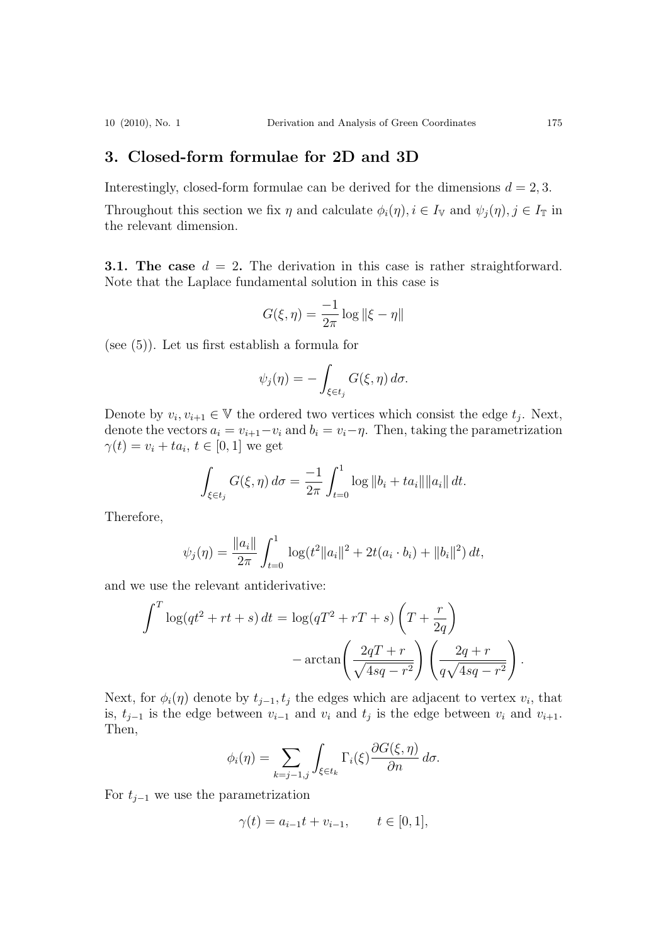# **3. Closed-form formulae for 2D and 3D**

Interestingly, closed-form formulae can be derived for the dimensions  $d = 2, 3$ .

Throughout this section we fix  $\eta$  and calculate  $\phi_i(\eta), i \in I_{\mathbb{V}}$  and  $\psi_j(\eta), j \in I_{\mathbb{T}}$  in the relevant dimension.

**3.1.** The case  $d = 2$ . The derivation in this case is rather straightforward. Note that the Laplace fundamental solution in this case is

$$
G(\xi,\eta)=\frac{-1}{2\pi}\log\|\xi-\eta\|
$$

(see (5)). Let us first establish a formula for

$$
\psi_j(\eta) = -\int_{\xi \in t_j} G(\xi, \eta) d\sigma.
$$

Denote by  $v_i, v_{i+1} \in V$  the ordered two vertices which consist the edge  $t_j$ . Next, denote the vectors  $a_i = v_{i+1} - v_i$  and  $b_i = v_i - \eta$ . Then, taking the parametrization  $\gamma(t) = v_i + ta_i, t \in [0,1]$  we get

$$
\int_{\xi \in t_j} G(\xi, \eta) d\sigma = \frac{-1}{2\pi} \int_{t=0}^1 \log \|b_i + ta_i\| \|a_i\| dt.
$$

Therefore,

$$
\psi_j(\eta) = \frac{\|a_i\|}{2\pi} \int_{t=0}^1 \log(t^2 \|a_i\|^2 + 2t(a_i \cdot b_i) + \|b_i\|^2) dt,
$$

and we use the relevant antiderivative:

$$
\int^T \log(qt^2 + rt + s) dt = \log(qT^2 + rT + s) \left(T + \frac{r}{2q}\right)
$$

$$
- \arctan\left(\frac{2qT + r}{\sqrt{4sq - r^2}}\right) \left(\frac{2q + r}{q\sqrt{4sq - r^2}}\right).
$$

Next, for  $\phi_i(\eta)$  denote by  $t_{j-1}, t_j$  the edges which are adjacent to vertex  $v_i$ , that is,  $t_{j-1}$  is the edge between  $v_{i-1}$  and  $v_i$  and  $t_j$  is the edge between  $v_i$  and  $v_{i+1}$ . Then,

$$
\phi_i(\eta) = \sum_{k=j-1,j} \int_{\xi \in t_k} \Gamma_i(\xi) \frac{\partial G(\xi, \eta)}{\partial n} d\sigma.
$$

For  $t_{j-1}$  we use the parametrization

$$
\gamma(t) = a_{i-1}t + v_{i-1}, \qquad t \in [0, 1],
$$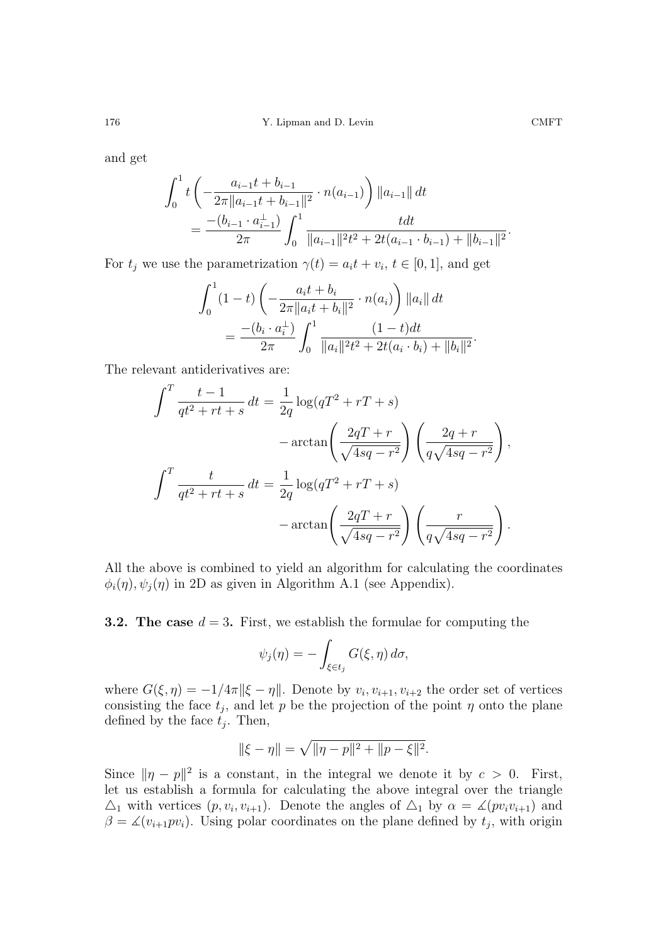and get

$$
\int_0^1 t \left( -\frac{a_{i-1}t + b_{i-1}}{2\pi ||a_{i-1}t + b_{i-1}||^2} \cdot n(a_{i-1}) \right) ||a_{i-1}|| dt
$$
  
= 
$$
\frac{-(b_{i-1} \cdot a_{i-1}^{\perp})}{2\pi} \int_0^1 \frac{t dt}{||a_{i-1}||^2 t^2 + 2t(a_{i-1} \cdot b_{i-1}) + ||b_{i-1}||^2}.
$$

For  $t_i$  we use the parametrization  $\gamma(t) = a_i t + v_i, t \in [0, 1]$ , and get

$$
\int_0^1 (1-t) \left( -\frac{a_i t + b_i}{2\pi \|a_i t + b_i\|^2} \cdot n(a_i) \right) \|a_i\| dt
$$
  
= 
$$
\frac{-(b_i \cdot a_i^{\perp})}{2\pi} \int_0^1 \frac{(1-t)dt}{\|a_i\|^2 t^2 + 2t(a_i \cdot b_i) + \|b_i\|^2}.
$$

The relevant antiderivatives are:

$$
\int_{-\infty}^T \frac{t-1}{qt^2+rt+s} dt = \frac{1}{2q} \log(qT^2+rT+s)
$$

$$
-\arctan\left(\frac{2qT+r}{\sqrt{4sq-r^2}}\right) \left(\frac{2q+r}{q\sqrt{4sq-r^2}}\right),
$$

$$
\int_{-\infty}^T \frac{t}{qt^2+rt+s} dt = \frac{1}{2q} \log(qT^2+rT+s)
$$

$$
-\arctan\left(\frac{2qT+r}{\sqrt{4sq-r^2}}\right) \left(\frac{r}{q\sqrt{4sq-r^2}}\right).
$$

All the above is combined to yield an algorithm for calculating the coordinates  $\phi_i(\eta), \psi_i(\eta)$  in 2D as given in Algorithm A.1 (see Appendix).

**3.2. The case**  $d = 3$ . First, we establish the formulae for computing the

$$
\psi_j(\eta) = -\int_{\xi \in t_j} G(\xi, \eta) d\sigma,
$$

where  $G(\xi, \eta) = -1/4\pi ||\xi - \eta||$ . Denote by  $v_i, v_{i+1}, v_{i+2}$  the order set of vertices consisting the face  $t_j$ , and let p be the projection of the point  $\eta$  onto the plane defined by the face  $t_i$ . Then,

$$
\|\xi - \eta\| = \sqrt{\|\eta - p\|^2 + \|p - \xi\|^2}.
$$

Since  $\|\eta - p\|^2$  is a constant, in the integral we denote it by  $c > 0$ . First, let us establish a formula for calculating the above integral over the triangle  $\Delta_1$  with vertices  $(p, v_i, v_{i+1})$ . Denote the angles of  $\Delta_1$  by  $\alpha = \angle (pv_i v_{i+1})$  and  $\beta = \measuredangle(v_{i+1}pv_i)$ . Using polar coordinates on the plane defined by  $t_j$ , with origin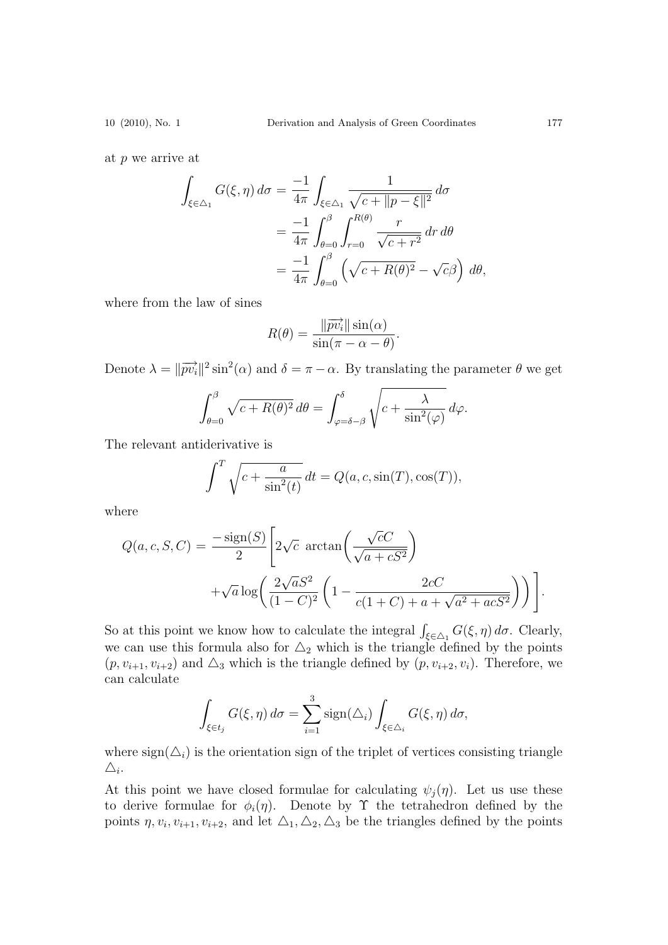at p we arrive at

$$
\int_{\xi \in \triangle_1} G(\xi, \eta) d\sigma = \frac{-1}{4\pi} \int_{\xi \in \triangle_1} \frac{1}{\sqrt{c + ||p - \xi||^2}} d\sigma
$$

$$
= \frac{-1}{4\pi} \int_{\theta=0}^{\beta} \int_{r=0}^{R(\theta)} \frac{r}{\sqrt{c + r^2}} dr d\theta
$$

$$
= \frac{-1}{4\pi} \int_{\theta=0}^{\beta} \left( \sqrt{c + R(\theta)^2} - \sqrt{c}\beta \right) d\theta,
$$

where from the law of sines

$$
R(\theta) = \frac{\|\overrightarrow{pv_i}\| \sin(\alpha)}{\sin(\pi - \alpha - \theta)}.
$$

Denote  $\lambda = ||\overrightarrow{pv_i}||^2 \sin^2(\alpha)$  and  $\delta = \pi - \alpha$ . By translating the parameter  $\theta$  we get

$$
\int_{\theta=0}^{\beta} \sqrt{c + R(\theta)^2} \, d\theta = \int_{\varphi=\delta-\beta}^{\delta} \sqrt{c + \frac{\lambda}{\sin^2(\varphi)}} \, d\varphi.
$$

The relevant antiderivative is

$$
\int^T \sqrt{c + \frac{a}{\sin^2(t)}} dt = Q(a, c, \sin(T), \cos(T)),
$$

where

$$
Q(a, c, S, C) = \frac{-\text{sign}(S)}{2} \left[ 2\sqrt{c} \arctan\left(\frac{\sqrt{c}C}{\sqrt{a + cS^2}}\right) + \sqrt{a}\log\left(\frac{2\sqrt{aS^2}}{(1 - C)^2} \left(1 - \frac{2cC}{c(1 + C) + a + \sqrt{a^2 + acS^2}}\right)\right) \right].
$$

So at this point we know how to calculate the integral  $\int_{\xi \in \triangle_1} G(\xi, \eta) d\sigma$ . Clearly, we can use this formula also for  $\Delta_2$  which is the triangle defined by the points  $(p, v_{i+1}, v_{i+2})$  and  $\Delta_3$  which is the triangle defined by  $(p, v_{i+2}, v_i)$ . Therefore, we can calculate

$$
\int_{\xi \in t_j} G(\xi, \eta) d\sigma = \sum_{i=1}^3 \operatorname{sign}(\Delta_i) \int_{\xi \in \Delta_i} G(\xi, \eta) d\sigma,
$$

where  $sign(\Delta_i)$  is the orientation sign of the triplet of vertices consisting triangle  $\triangle_i$ .

At this point we have closed formulae for calculating  $\psi_i(\eta)$ . Let us use these to derive formulae for  $\phi_i(\eta)$ . Denote by  $\Upsilon$  the tetrahedron defined by the points  $\eta, v_i, v_{i+1}, v_{i+2}$ , and let  $\Delta_1, \Delta_2, \Delta_3$  be the triangles defined by the points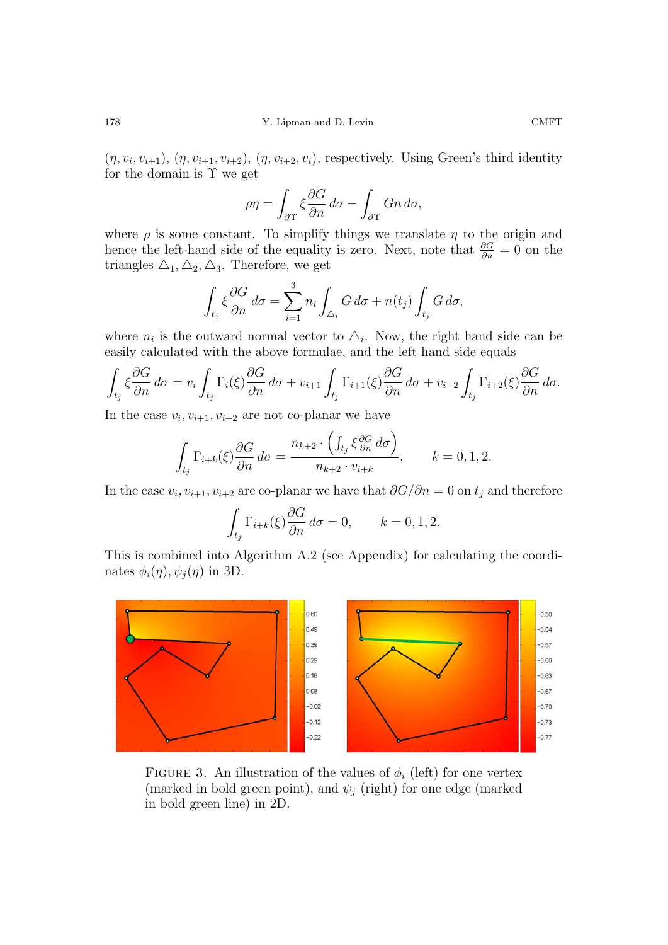$(\eta, v_i, v_{i+1}), (\eta, v_{i+1}, v_{i+2}), (\eta, v_{i+2}, v_i)$ , respectively. Using Green's third identity for the domain is  $\Upsilon$  we get

$$
\rho \eta = \int_{\partial \Upsilon} \xi \frac{\partial G}{\partial n} d\sigma - \int_{\partial \Upsilon} G n d\sigma,
$$

where  $\rho$  is some constant. To simplify things we translate  $\eta$  to the origin and hence the left-hand side of the equality is zero. Next, note that  $\frac{\partial G}{\partial n} = 0$  on the triangles  $\Delta_1, \Delta_2, \Delta_3$ . Therefore, we get

$$
\int_{t_j} \xi \frac{\partial G}{\partial n} d\sigma = \sum_{i=1}^3 n_i \int_{\triangle_i} G d\sigma + n(t_j) \int_{t_j} G d\sigma,
$$

where  $n_i$  is the outward normal vector to  $\Delta_i$ . Now, the right hand side can be easily calculated with the above formulae, and the left hand side equals

$$
\int_{t_j} \xi \frac{\partial G}{\partial n} d\sigma = v_i \int_{t_j} \Gamma_i(\xi) \frac{\partial G}{\partial n} d\sigma + v_{i+1} \int_{t_j} \Gamma_{i+1}(\xi) \frac{\partial G}{\partial n} d\sigma + v_{i+2} \int_{t_j} \Gamma_{i+2}(\xi) \frac{\partial G}{\partial n} d\sigma.
$$

In the case  $v_i, v_{i+1}, v_{i+2}$  are not co-planar we have

$$
\int_{t_j} \Gamma_{i+k}(\xi) \frac{\partial G}{\partial n} d\sigma = \frac{n_{k+2} \cdot \left( \int_{t_j} \xi \frac{\partial G}{\partial n} d\sigma \right)}{n_{k+2} \cdot v_{i+k}}, \qquad k = 0, 1, 2.
$$

In the case  $v_i, v_{i+1}, v_{i+2}$  are co-planar we have that  $\partial G/\partial n = 0$  on  $t_j$  and therefore

$$
\int_{t_j} \Gamma_{i+k}(\xi) \frac{\partial G}{\partial n} d\sigma = 0, \qquad k = 0, 1, 2.
$$

This is combined into Algorithm A.2 (see Appendix) for calculating the coordinates  $\phi_i(\eta), \psi_i(\eta)$  in 3D.



FIGURE 3. An illustration of the values of  $\phi_i$  (left) for one vertex (marked in bold green point), and  $\psi_i$  (right) for one edge (marked in bold green line) in 2D.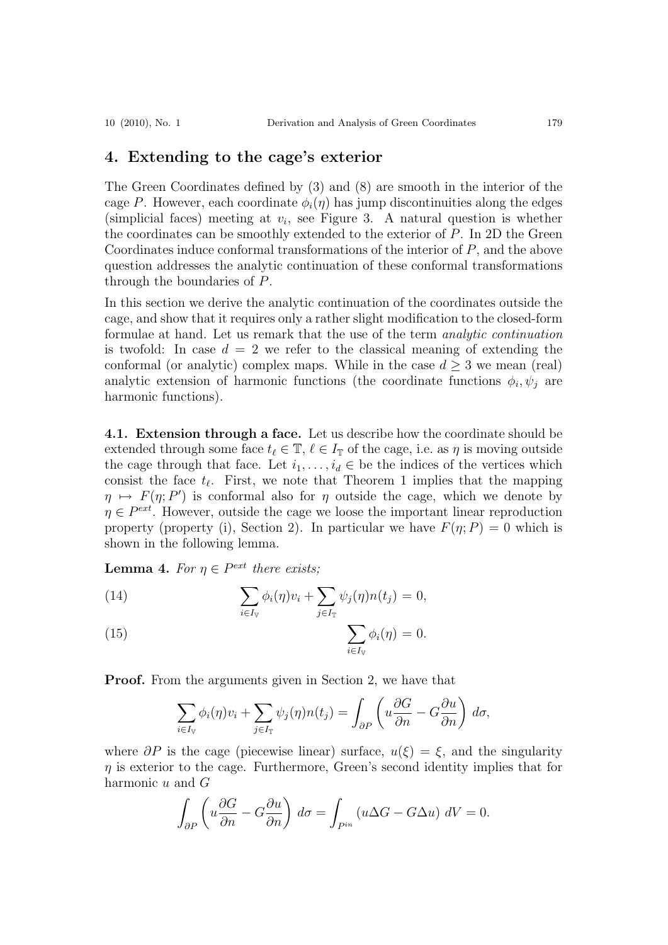### **4. Extending to the cage's exterior**

The Green Coordinates defined by (3) and (8) are smooth in the interior of the cage P. However, each coordinate  $\phi_i(\eta)$  has jump discontinuities along the edges (simplicial faces) meeting at  $v_i$ , see Figure 3. A natural question is whether the coordinates can be smoothly extended to the exterior of P. In 2D the Green Coordinates induce conformal transformations of the interior of P, and the above question addresses the analytic continuation of these conformal transformations through the boundaries of P.

In this section we derive the analytic continuation of the coordinates outside the cage, and show that it requires only a rather slight modification to the closed-form formulae at hand. Let us remark that the use of the term analytic continuation is twofold: In case  $d = 2$  we refer to the classical meaning of extending the conformal (or analytic) complex maps. While in the case  $d \geq 3$  we mean (real) analytic extension of harmonic functions (the coordinate functions  $\phi_i, \psi_j$  are harmonic functions).

**4.1. Extension through a face.** Let us describe how the coordinate should be extended through some face  $t_\ell \in \mathbb{T}$ ,  $\ell \in I_{\mathbb{T}}$  of the cage, i.e. as  $\eta$  is moving outside the cage through that face. Let  $i_1, \ldots, i_d \in$  be the indices of the vertices which consist the face  $t_{\ell}$ . First, we note that Theorem 1 implies that the mapping  $\eta \mapsto F(\eta; P')$  is conformal also for  $\eta$  outside the cage, which we denote by  $\eta \in P^{ext}$ . However, outside the cage we loose the important linear reproduction property (property (i), Section 2). In particular we have  $F(\eta; P) = 0$  which is shown in the following lemma.

**Lemma 4.** For  $\eta \in P^{ext}$  there exists;

(14) 
$$
\sum_{i\in I_{\mathbb{V}}} \phi_i(\eta) v_i + \sum_{j\in I_{\mathbb{T}}} \psi_j(\eta) n(t_j) = 0,
$$

(15) 
$$
\sum_{i \in I_V} \phi_i(\eta) = 0.
$$

**Proof.** From the arguments given in Section 2, we have that

$$
\sum_{i\in I_{\mathbb{V}}}\phi_i(\eta)v_i+\sum_{j\in I_{\mathbb{T}}}\psi_j(\eta)n(t_j)=\int_{\partial P}\left(u\frac{\partial G}{\partial n}-G\frac{\partial u}{\partial n}\right)\,d\sigma,
$$

where  $\partial P$  is the cage (piecewise linear) surface,  $u(\xi) = \xi$ , and the singularity  $\eta$  is exterior to the cage. Furthermore, Green's second identity implies that for harmonic u and G

$$
\int_{\partial P} \left( u \frac{\partial G}{\partial n} - G \frac{\partial u}{\partial n} \right) d\sigma = \int_{P^{in}} \left( u \Delta G - G \Delta u \right) dV = 0.
$$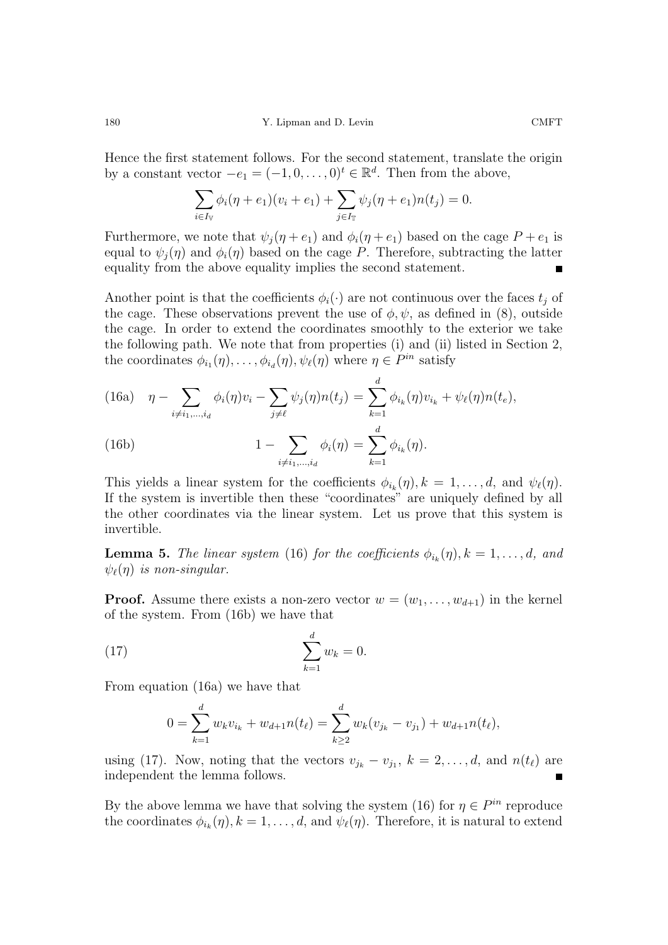Hence the first statement follows. For the second statement, translate the origin by a constant vector  $-e_1 = (-1, 0, \ldots, 0)^t \in \mathbb{R}^d$ . Then from the above,

$$
\sum_{i \in I_{\mathbb{V}}} \phi_i(\eta + e_1)(v_i + e_1) + \sum_{j \in I_{\mathbb{T}}} \psi_j(\eta + e_1)n(t_j) = 0.
$$

Furthermore, we note that  $\psi_j(\eta + e_1)$  and  $\phi_i(\eta + e_1)$  based on the cage  $P + e_1$  is equal to  $\psi_i(\eta)$  and  $\phi_i(\eta)$  based on the cage P. Therefore, subtracting the latter equality from the above equality implies the second statement.

Another point is that the coefficients  $\phi_i(\cdot)$  are not continuous over the faces  $t_i$  of the cage. These observations prevent the use of  $\phi, \psi$ , as defined in (8), outside the cage. In order to extend the coordinates smoothly to the exterior we take the following path. We note that from properties (i) and (ii) listed in Section 2, the coordinates  $\phi_{i_1}(\eta), \ldots, \phi_{i_d}(\eta), \psi_{\ell}(\eta)$  where  $\eta \in P^{in}$  satisfy

(16a) 
$$
\eta - \sum_{i \neq i_1, ..., i_d} \phi_i(\eta) v_i - \sum_{j \neq \ell} \psi_j(\eta) n(t_j) = \sum_{k=1}^d \phi_{i_k}(\eta) v_{i_k} + \psi_\ell(\eta) n(t_e),
$$
  
(16b) 
$$
1 - \sum_{i \neq i_1, ..., i_d} \phi_i(\eta) = \sum_{k=1}^d \phi_{i_k}(\eta).
$$

This yields a linear system for the coefficients  $\phi_{i_k}(\eta), k = 1, \ldots, d$ , and  $\psi_{\ell}(\eta)$ . If the system is invertible then these "coordinates" are uniquely defined by all the other coordinates via the linear system. Let us prove that this system is invertible.

**Lemma 5.** The linear system (16) for the coefficients  $\phi_{i_k}(\eta), k = 1, \ldots, d$ , and  $\psi_{\ell}(\eta)$  is non-singular.

**Proof.** Assume there exists a non-zero vector  $w = (w_1, \ldots, w_{d+1})$  in the kernel of the system. From (16b) we have that

(17) 
$$
\sum_{k=1}^{d} w_k = 0.
$$

From equation (16a) we have that

$$
0 = \sum_{k=1}^{d} w_k v_{i_k} + w_{d+1} n(t_\ell) = \sum_{k \ge 2}^{d} w_k (v_{j_k} - v_{j_1}) + w_{d+1} n(t_\ell),
$$

using (17). Now, noting that the vectors  $v_{j_k} - v_{j_1}$ ,  $k = 2, ..., d$ , and  $n(t_\ell)$  are independent the lemma follows.

By the above lemma we have that solving the system (16) for  $\eta \in P^{in}$  reproduce the coordinates  $\phi_{i_k}(\eta), k = 1, \ldots, d$ , and  $\psi_{\ell}(\eta)$ . Therefore, it is natural to extend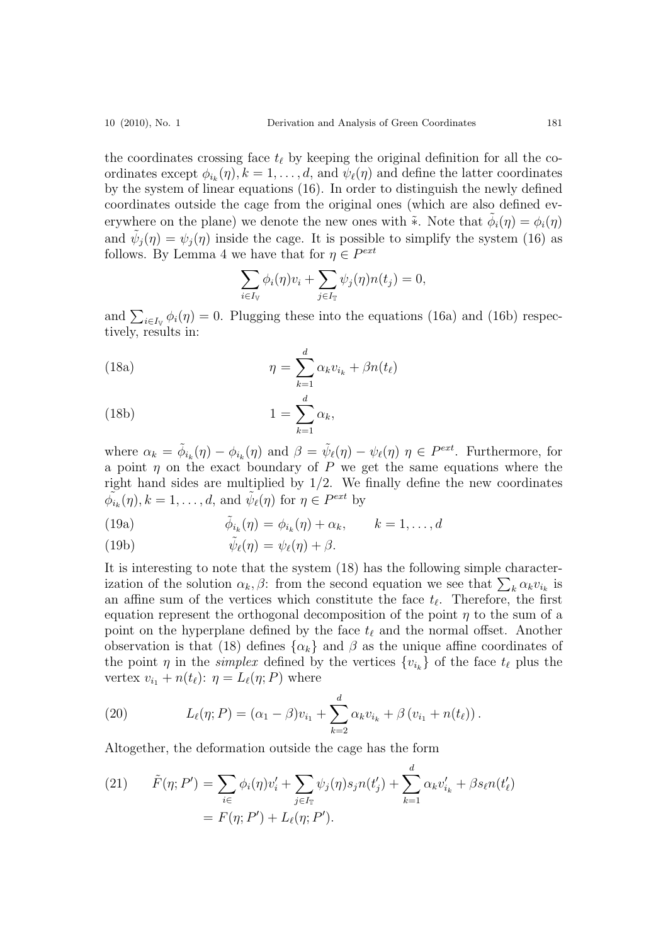the coordinates crossing face  $t_{\ell}$  by keeping the original definition for all the coordinates except  $\phi_{i_k}(\eta), k = 1, \ldots, d$ , and  $\psi_{\ell}(\eta)$  and define the latter coordinates by the system of linear equations (16). In order to distinguish the newly defined coordinates outside the cage from the original ones (which are also defined everywhere on the plane) we denote the new ones with \*. Note that  $\phi_i(\eta) = \phi_i(\eta)$ and  $\tilde{\psi}_i(\eta) = \psi_i(\eta)$  inside the cage. It is possible to simplify the system (16) as follows. By Lemma 4 we have that for  $\eta \in P^{ext}$ 

$$
\sum_{i\in I_{\mathbb{V}}}\phi_i(\eta)v_i+\sum_{j\in I_{\mathbb{T}}}\psi_j(\eta)n(t_j)=0,
$$

and  $\sum_{i\in I_{\mathcal{V}}} \phi_i(\eta) = 0$ . Plugging these into the equations (16a) and (16b) respectively, results in:

(18a) 
$$
\eta = \sum_{k=1}^{d} \alpha_k v_{i_k} + \beta n(t_\ell)
$$

(18b) 
$$
1 = \sum_{k=1}^{\infty} \alpha_k,
$$

where  $\alpha_k = \tilde{\phi}_{i_k}(\eta) - \phi_{i_k}(\eta)$  and  $\beta = \tilde{\psi}_{\ell}(\eta) - \psi_{\ell}(\eta)$   $\eta \in P^{ext}$ . Furthermore, for a point  $\eta$  on the exact boundary of P we get the same equations where the right hand sides are multiplied by  $1/2$ . We finally define the new coordinates  $\widetilde{\phi_{i_k}}(\eta), k = 1, \ldots, d$ , and  $\widetilde{\psi}_{\ell}(\eta)$  for  $\eta \in P^{ext}$  by

(19a) 
$$
\tilde{\phi}_{i_k}(\eta) = \phi_{i_k}(\eta) + \alpha_k, \qquad k = 1, \ldots, d
$$

(19b) 
$$
\tilde{\psi}_{\ell}(\eta) = \psi_{\ell}(\eta) + \beta.
$$

It is interesting to note that the system (18) has the following simple characterization of the solution  $\alpha_k, \beta$ : from the second equation we see that  $\sum_k \alpha_k v_{i_k}$  is an affine sum of the vertices which constitute the face  $t_{\ell}$ . Therefore, the first equation represent the orthogonal decomposition of the point  $\eta$  to the sum of a point on the hyperplane defined by the face  $t_{\ell}$  and the normal offset. Another observation is that (18) defines  $\{\alpha_k\}$  and  $\beta$  as the unique affine coordinates of the point  $\eta$  in the *simplex* defined by the vertices  $\{v_{i_k}\}\$  of the face  $t_\ell$  plus the vertex  $v_{i_1} + n(t_\ell)$ :  $\eta = L_\ell(\eta; P)$  where

(20) 
$$
L_{\ell}(\eta; P) = (\alpha_1 - \beta)v_{i_1} + \sum_{k=2}^{d} \alpha_k v_{i_k} + \beta (v_{i_1} + n(t_{\ell})).
$$

Altogether, the deformation outside the cage has the form

(21) 
$$
\tilde{F}(\eta; P') = \sum_{i \in \mathcal{F}} \phi_i(\eta) v'_i + \sum_{j \in I_{\mathcal{T}}} \psi_j(\eta) s_j n(t'_j) + \sum_{k=1}^d \alpha_k v'_{i_k} + \beta s_\ell n(t'_\ell) \n= F(\eta; P') + L_\ell(\eta; P').
$$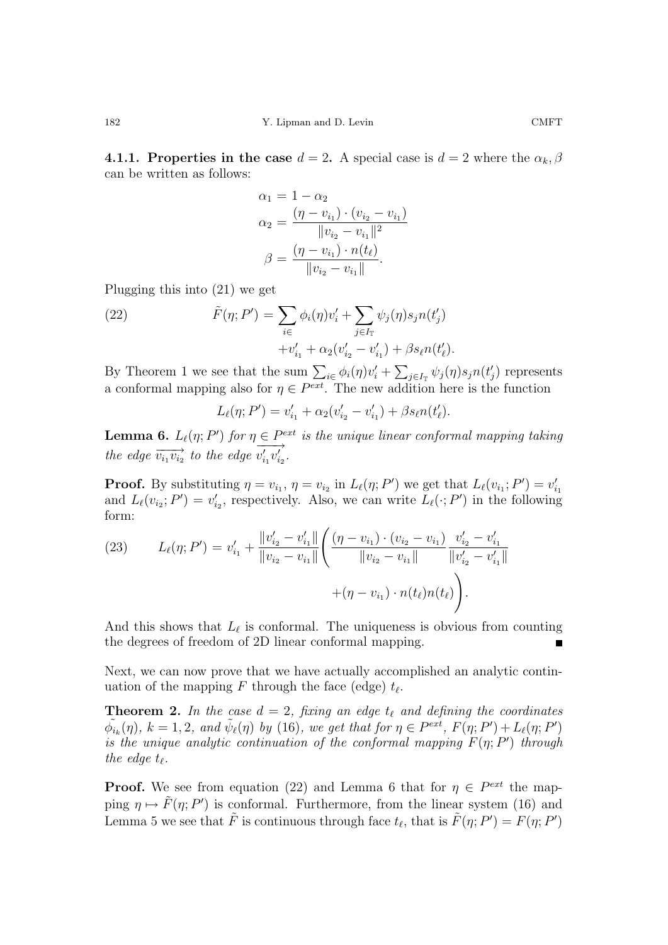**4.1.1. Properties in the case**  $d = 2$ . A special case is  $d = 2$  where the  $\alpha_k, \beta$ can be written as follows:

$$
\alpha_1 = 1 - \alpha_2
$$
  
\n
$$
\alpha_2 = \frac{(\eta - v_{i_1}) \cdot (v_{i_2} - v_{i_1})}{\|v_{i_2} - v_{i_1}\|^2}
$$
  
\n
$$
\beta = \frac{(\eta - v_{i_1}) \cdot n(t_\ell)}{\|v_{i_2} - v_{i_1}\|}.
$$

Plugging this into (21) we get

(22) 
$$
\tilde{F}(\eta; P') = \sum_{i \in \mathcal{F}} \phi_i(\eta) v'_i + \sum_{j \in I_{\mathcal{T}}} \psi_j(\eta) s_j n(t'_j) + v'_{i_1} + \alpha_2 (v'_{i_2} - v'_{i_1}) + \beta s_\ell n(t'_\ell).
$$

By Theorem 1 we see that the sum  $\sum_{i \in \phi_i} \phi_i(\eta) v_i' + \sum_{j \in I_{\mathbb{T}}} \psi_j(\eta) s_j n(t_j')$  represents a conformal mapping also for  $\eta \in P^{ext}$ . The new addition here is the function

$$
L_{\ell}(\eta; P') = v'_{i_1} + \alpha_2 (v'_{i_2} - v'_{i_1}) + \beta s_{\ell} n(t'_{\ell}).
$$

**Lemma 6.**  $L_{\ell}(\eta; P')$  for  $\eta \in P^{ext}$  is the unique linear conformal mapping taking the edge  $\overrightarrow{v_{i_1}v_{i_2}}$  to the edge  $\overrightarrow{v'_{i_1}v'_{i_2}}$ .

**Proof.** By substituting  $\eta = v_{i_1}, \eta = v_{i_2}$  in  $L_\ell(\eta; P')$  we get that  $L_\ell(v_{i_1}; P') = v'_{i_1}$  and  $L_\ell(v_{i_2}; P') = v'_{i_2}$ , respectively. Also, we can write  $L_\ell(\cdot; P')$  in the following form:

(23) 
$$
L_{\ell}(\eta; P') = v'_{i_1} + \frac{||v'_{i_2} - v'_{i_1}||}{||v_{i_2} - v_{i_1}||} \left( \frac{(\eta - v_{i_1}) \cdot (v_{i_2} - v_{i_1})}{||v_{i_2} - v_{i_1}||} \frac{v'_{i_2} - v'_{i_1}}{||v'_{i_2} - v'_{i_1}||} + (\eta - v_{i_1}) \cdot n(t_{\ell}) n(t_{\ell}) \right).
$$

And this shows that  $L_{\ell}$  is conformal. The uniqueness is obvious from counting the degrees of freedom of 2D linear conformal mapping.

Next, we can now prove that we have actually accomplished an analytic continuation of the mapping F through the face (edge)  $t_{\ell}$ .

**Theorem 2.** In the case  $d = 2$ , fixing an edge  $t_{\ell}$  and defining the coordinates  $\tilde{\phi}_{i_k}(\eta), k = 1, 2, \text{ and } \tilde{\psi}_{\ell}(\eta) \text{ by (16), we get that for } \eta \in P^{\text{ext}}, F(\eta; P') + L_{\ell}(\eta; P')$ is the unique analytic continuation of the conformal mapping  $F(\eta; P')$  through the edge  $t_{\ell}$ .

**Proof.** We see from equation (22) and Lemma 6 that for  $\eta \in P^{ext}$  the mapping  $\eta \mapsto \tilde{F}(\eta; P')$  is conformal. Furthermore, from the linear system (16) and Lemma 5 we see that  $\tilde{F}$  is continuous through face  $t_{\ell}$ , that is  $\tilde{F}(\eta; P') = F(\eta; P')$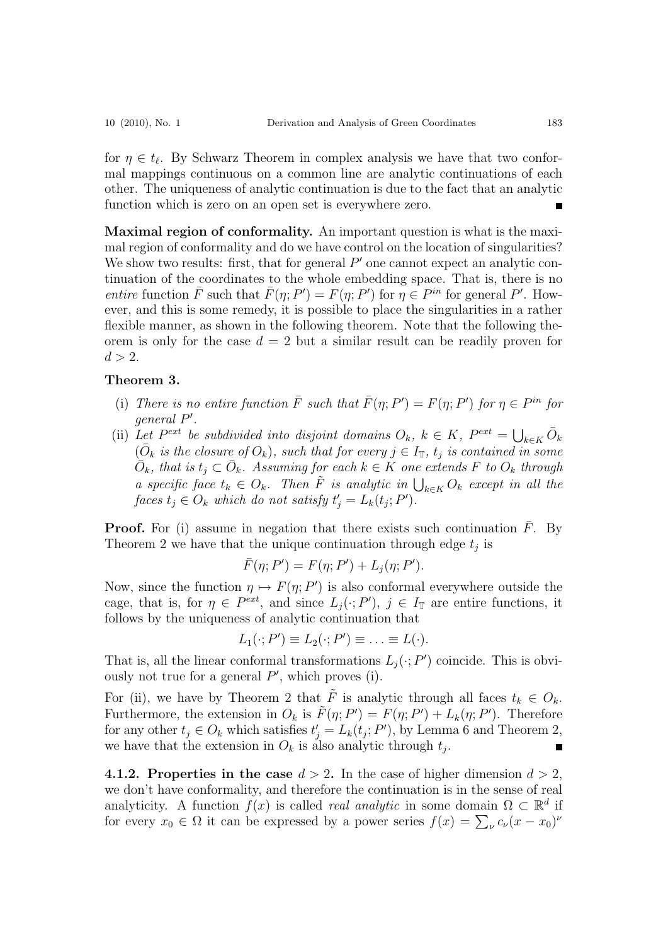for  $\eta \in t_{\ell}$ . By Schwarz Theorem in complex analysis we have that two conformal mappings continuous on a common line are analytic continuations of each other. The uniqueness of analytic continuation is due to the fact that an analytic function which is zero on an open set is everywhere zero.

**Maximal region of conformality.** An important question is what is the maximal region of conformality and do we have control on the location of singularities? We show two results: first, that for general  $P'$  one cannot expect an analytic continuation of the coordinates to the whole embedding space. That is, there is no entire function  $\bar{F}$  such that  $\bar{F}(\eta; P') = F(\eta; P')$  for  $\eta \in P^{in}$  for general P'. However, and this is some remedy, it is possible to place the singularities in a rather flexible manner, as shown in the following theorem. Note that the following theorem is only for the case  $d = 2$  but a similar result can be readily proven for  $d > 2$ .

#### **Theorem 3.**

- (i) There is no entire function  $\overline{F}$  such that  $\overline{F}(\eta; P') = F(\eta; P')$  for  $\eta \in P^{in}$  for general P .
- (ii) Let  $P^{ext}$  be subdivided into disjoint domains  $O_k$ ,  $k \in K$ ,  $P^{ext} = \bigcup_{k \in K} \bar{O}_k$  $(\bar{O}_k$  is the closure of  $O_k$ , such that for every  $j \in I_{\mathbb{T}}$ ,  $t_j$  is contained in some  $\overline{O}_k$ , that is  $t_j \subset \overline{O}_k$ . Assuming for each  $k \in K$  one extends F to  $O_k$  through a specific face  $t_k \in O_k$ . Then  $\tilde{F}$  is analytic in  $\bigcup_{k \in K} O_k$  except in all the faces  $t_j \in O_k$  which do not satisfy  $t'_j = L_k(t_j; P')$ .

**Proof.** For (i) assume in negation that there exists such continuation  $F$ . By Theorem 2 we have that the unique continuation through edge  $t_i$  is

$$
\bar{F}(\eta; P') = F(\eta; P') + L_j(\eta; P').
$$

Now, since the function  $\eta \mapsto F(\eta; P')$  is also conformal everywhere outside the cage, that is, for  $\eta \in P^{ext}$ , and since  $L_j(\cdot; P')$ ,  $j \in I_{\mathbb{T}}$  are entire functions, it follows by the uniqueness of analytic continuation that

$$
L_1(\cdot; P') \equiv L_2(\cdot; P') \equiv \ldots \equiv L(\cdot).
$$

That is, all the linear conformal transformations  $L_i(\cdot; P')$  coincide. This is obviously not true for a general  $P'$ , which proves (i).

For (ii), we have by Theorem 2 that  $\tilde{F}$  is analytic through all faces  $t_k \in O_k$ . Furthermore, the extension in  $O_k$  is  $\tilde{F}(\eta; P') = F(\eta; P') + L_k(\eta; P')$ . Therefore for any other  $t_j \in O_k$  which satisfies  $t'_j = L_k(t_j; P')$ , by Lemma 6 and Theorem 2, we have that the extension in  $O_k$  is also analytic through  $t_i$ .

**4.1.2. Properties in the case**  $d > 2$ . In the case of higher dimension  $d > 2$ , we don't have conformality, and therefore the continuation is in the sense of real analyticity. A function  $f(x)$  is called *real analytic* in some domain  $\Omega \subset \mathbb{R}^d$  if for every  $x_0 \in \Omega$  it can be expressed by a power series  $f(x) = \sum_{\nu} c_{\nu}(x - x_0)^{\nu}$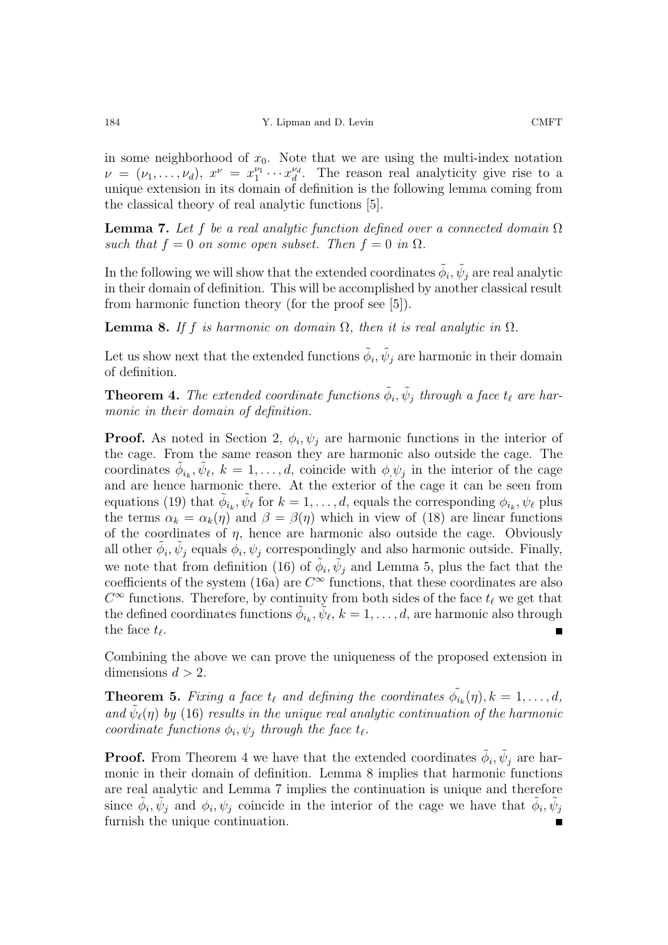in some neighborhood of  $x_0$ . Note that we are using the multi-index notation  $\nu = (\nu_1, \ldots, \nu_d), x^{\nu} = x_1^{\nu_1} \cdots x_d^{\nu_d}.$  The reason real analyticity give rise to a unique extension in its domain of definition is the following lemma coming from the classical theory of real analytic functions [5].

**Lemma 7.** Let f be a real analytic function defined over a connected domain  $\Omega$ such that  $f = 0$  on some open subset. Then  $f = 0$  in  $\Omega$ .

In the following we will show that the extended coordinates  $\phi_i, \psi_j$  are real analytic in their domain of definition. This will be accomplished by another classical result from harmonic function theory (for the proof see [5]).

**Lemma 8.** If f is harmonic on domain  $\Omega$ , then it is real analytic in  $\Omega$ .

Let us show next that the extended functions  $\tilde{\phi}_i, \tilde{\psi}_i$  are harmonic in their domain of definition.

**Theorem 4.** The extended coordinate functions  $\tilde{\phi}_i$ ,  $\tilde{\psi}_j$  through a face  $t_\ell$  are harmonic in their domain of definition.

**Proof.** As noted in Section 2,  $\phi_i, \psi_j$  are harmonic functions in the interior of the cage. From the same reason they are harmonic also outside the cage. The coordinates  $\phi_{i_k}, \psi_{\ell}, k = 1, \ldots, d$ , coincide with  $\phi_i \psi_j$  in the interior of the cage and are hence harmonic there. At the exterior of the cage it can be seen from equations (19) that  $\phi_{i_k}, \psi_{\ell}$  for  $k = 1, \ldots, d$ , equals the corresponding  $\phi_{i_k}, \psi_{\ell}$  plus the terms  $\alpha_k = \alpha_k(\eta)$  and  $\beta = \beta(\eta)$  which in view of (18) are linear functions of the coordinates of  $\eta$ , hence are harmonic also outside the cage. Obviously all other  $\phi_i, \psi_j$  equals  $\phi_i, \psi_j$  correspondingly and also harmonic outside. Finally, we note that from definition (16) of  $\tilde{\phi}_i, \tilde{\psi}_j$  and Lemma 5, plus the fact that the coefficients of the system (16a) are  $C^{\infty}$  functions, that these coordinates are also  $C^{\infty}$  functions. Therefore, by continuity from both sides of the face  $t_{\ell}$  we get that the defined coordinates functions  $\phi_{i_k}, \psi_{\ell}, k = 1, \ldots, d$ , are harmonic also through the face  $t_{\ell}$ .

Combining the above we can prove the uniqueness of the proposed extension in dimensions  $d > 2$ .

**Theorem 5.** Fixing a face  $t_{\ell}$  and defining the coordinates  $\tilde{\phi}_{i_k}(\eta), k = 1, \ldots, d$ , and  $\psi_{\ell}(\eta)$  by (16) results in the unique real analytic continuation of the harmonic coordinate functions  $\phi_i, \psi_j$  through the face  $t_\ell$ .

**Proof.** From Theorem 4 we have that the extended coordinates  $\phi_i, \psi_j$  are harmonic in their domain of definition. Lemma 8 implies that harmonic functions are real analytic and Lemma 7 implies the continuation is unique and therefore since  $\phi_i, \psi_j$  and  $\phi_i, \psi_j$  coincide in the interior of the cage we have that  $\tilde{\phi}_i, \tilde{\psi}_j$ furnish the unique continuation.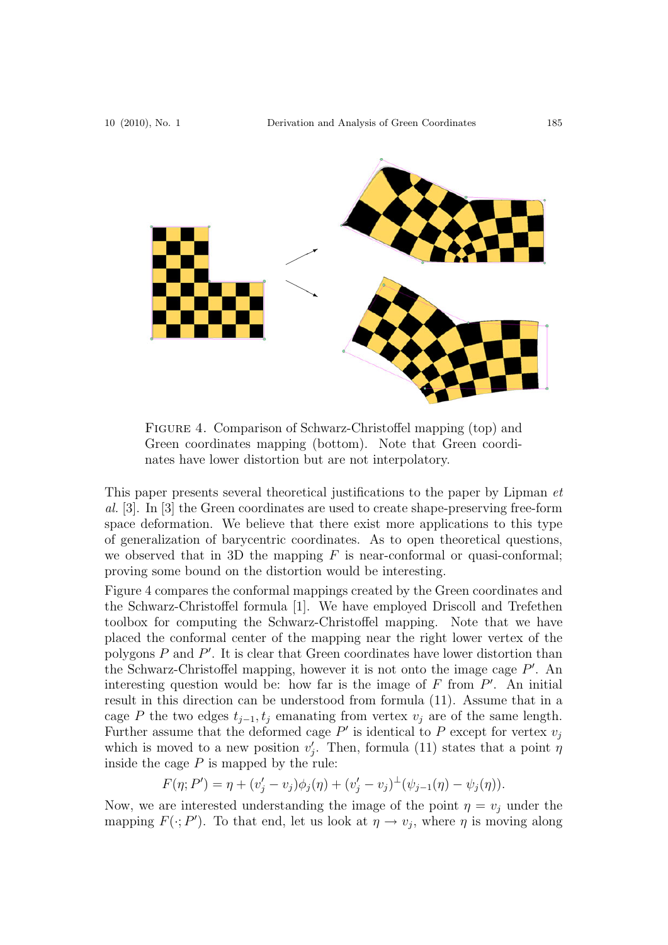

Figure 4. Comparison of Schwarz-Christoffel mapping (top) and Green coordinates mapping (bottom). Note that Green coordinates have lower distortion but are not interpolatory.

This paper presents several theoretical justifications to the paper by Lipman et al. [3]. In [3] the Green coordinates are used to create shape-preserving free-form space deformation. We believe that there exist more applications to this type of generalization of barycentric coordinates. As to open theoretical questions, we observed that in 3D the mapping  $F$  is near-conformal or quasi-conformal; proving some bound on the distortion would be interesting.

Figure 4 compares the conformal mappings created by the Green coordinates and the Schwarz-Christoffel formula [1]. We have employed Driscoll and Trefethen toolbox for computing the Schwarz-Christoffel mapping. Note that we have placed the conformal center of the mapping near the right lower vertex of the polygons  $P$  and  $P'$ . It is clear that Green coordinates have lower distortion than the Schwarz-Christoffel mapping, however it is not onto the image cage  $P'$ . An interesting question would be: how far is the image of  $F$  from  $P'$ . An initial result in this direction can be understood from formula (11). Assume that in a cage P the two edges  $t_{j-1}, t_j$  emanating from vertex  $v_j$  are of the same length. Further assume that the deformed cage  $P'$  is identical to P except for vertex  $v_j$ which is moved to a new position  $v_i'$ . Then, formula (11) states that a point  $\eta$ inside the cage  $P$  is mapped by the rule:

$$
F(\eta; P') = \eta + (v'_j - v_j)\phi_j(\eta) + (v'_j - v_j)^{\perp}(\psi_{j-1}(\eta) - \psi_j(\eta)).
$$

Now, we are interested understanding the image of the point  $\eta = v_j$  under the mapping  $F(\cdot; P')$ . To that end, let us look at  $\eta \to v_j$ , where  $\eta$  is moving along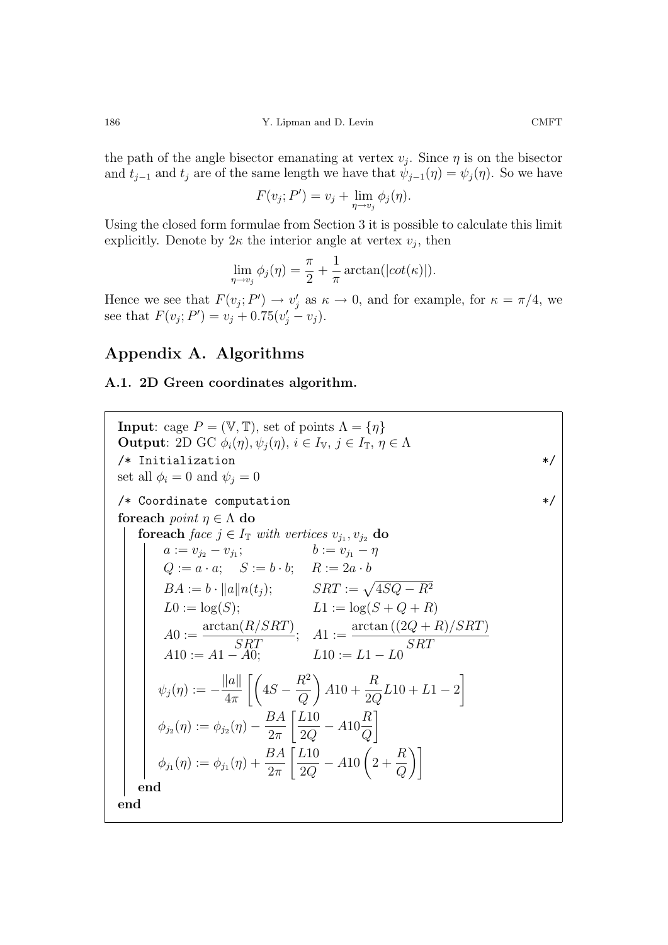the path of the angle bisector emanating at vertex  $v_i$ . Since  $\eta$  is on the bisector and  $t_{j-1}$  and  $t_j$  are of the same length we have that  $\psi_{j-1}(\eta) = \psi_j(\eta)$ . So we have

$$
F(v_j; P') = v_j + \lim_{\eta \to v_j} \phi_j(\eta).
$$

Using the closed form formulae from Section 3 it is possible to calculate this limit explicitly. Denote by  $2\kappa$  the interior angle at vertex  $v_i$ , then

$$
\lim_{\eta \to v_j} \phi_j(\eta) = \frac{\pi}{2} + \frac{1}{\pi} \arctan(|\cot(\kappa)|).
$$

Hence we see that  $F(v_j; P') \to v'_j$  as  $\kappa \to 0$ , and for example, for  $\kappa = \pi/4$ , we see that  $F(v_j; P') = v_j + 0.75(v'_j - v_j)$ .

### **Appendix A. Algorithms**

#### **A.1. 2D Green coordinates algorithm.**

**Input**: cage  $P = (\mathbb{V}, \mathbb{T})$ , set of points  $\Lambda = \{\eta\}$ **Output**: 2D GC  $\phi_i(\eta), \psi_j(\eta), i \in I_{\mathbb{V}}, j \in I_{\mathbb{T}}, \eta \in \Lambda$  $/*$  Initialization  $*$ set all  $\phi_i = 0$  and  $\psi_j = 0$  $/*$  Coordinate computation **foreach** point  $\eta \in \Lambda$  **do foreach** face  $j \in I_{\mathbb{T}}$  with vertices  $v_{j_1}, v_{j_2}$  **do**  $a := v_{j_2} - v_{j_1};$   $b := v_{j_1} - \eta$  $Q := a \cdot a; \quad S := b \cdot b; \quad R := 2a \cdot b$  $BA := b \cdot ||a|| n(t_i);$   $SRT := \sqrt{4SQ - R^2}$  $L0 := \log(S);$   $L1 := \log(S + Q + R)$  $A0 := \frac{\arctan(R/SRT)}{SRT}; \quad A1 := \frac{\arctan((2Q + R)/SRT)}{SRT}$  $A10 := A1 - A0;$   $L10 := L1 - L0$  $\psi_j(\eta) := -\frac{\|a\|}{4\pi} \left[ \left( 4S - \frac{R^2}{Q} \right) \right]$  $A10 + \frac{R}{26}$  $\frac{R}{2Q}L10 + L1 - 2$  $\phi_{j_2}(\eta) := \phi_{j_2}(\eta) - \frac{BA}{2\pi}$  $\bigg[\frac{L10}{2Q} - A10\frac{R}{Q}$ 1  $\phi_{j_1}(\eta) := \phi_{j_1}(\eta) + \frac{BA}{2\pi}$  $\bigg[\frac{L10}{2Q} - A10\bigg(2 + \frac{R}{Q}\bigg)$  $\setminus$ **end end**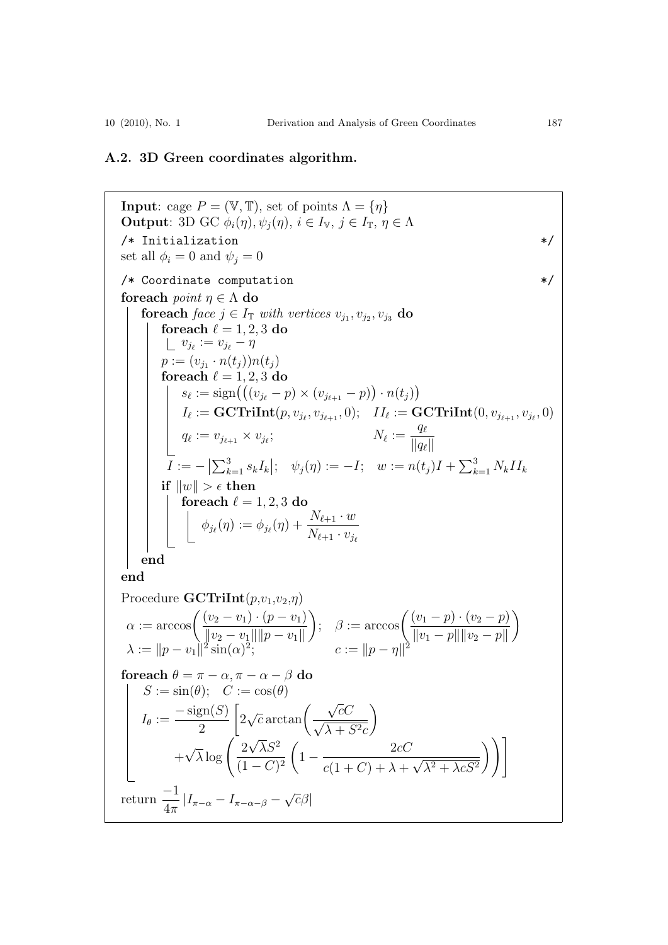### **A.2. 3D Green coordinates algorithm.**

**Input**: cage  $P = (\mathbb{V}, \mathbb{T})$ , set of points  $\Lambda = \{\eta\}$ **Output**: 3D GC  $\phi_i(\eta), \psi_i(\eta), i \in I_{\mathbb{V}}, j \in I_{\mathbb{T}}, \eta \in \Lambda$ /\* Initialization  $*$ / set all  $\phi_i = 0$  and  $\psi_j = 0$ /\* Coordinate computation  $*$ / **foreach** point  $\eta \in \Lambda$  **do foreach** face  $j \in I_{\mathbb{T}}$  with vertices  $v_{j_1}, v_{j_2}, v_{j_3}$  **do foreach**  $\ell = 1, 2, 3$  **do**  $v_{j_\ell} := v_{j_\ell} - \eta$  $p := (v_{j_1} \cdot n(t_j))n(t_j)$  ${\bf forceach} \ell = 1, 2, 3$  do  $s_{\ell} := \text{sign}((v_{j_{\ell}} - p) \times (v_{j_{\ell+1}} - p)) \cdot n(t_j))$  $I_{\ell} := \mathbf{GCTrilnt}(p, v_{j_{\ell}}, v_{j_{\ell+1}}, 0); \quad II_{\ell} := \mathbf{GCTrilnt}(0, v_{j_{\ell+1}}, v_{j_{\ell}}, 0)$  $q_{\ell} := v_{j_{\ell+1}} \times v_{j_{\ell}};$   $N_{\ell} :=$  $q_{\ell}$  $\overline{||q_\ell||}$  $I := - \left| \sum_{k=1}^{3} s_k I_k \right|; \quad \psi_j(\eta) := -I; \quad w := n(t_j)I + \sum_{k=1}^{3} N_k II_k$  $\textbf{if} \ \|w\| > \epsilon \ \textbf{then}$  $\int$  **foreach**  $\ell = 1, 2, 3$  **do**  $\phi_{j_\ell}(\eta) := \phi_{j_\ell}(\eta) + \frac{N_{\ell+1}\cdot w}{N_{\ell+1}}$  $\overline{N_{\ell+1}\cdot v_{j_\ell}}$ **end end** Procedure  $\mathbf{GCTrilnt}(p,v_1,v_2,\eta)$  $\alpha := \arccos\left(\frac{(v_2 - v_1) \cdot (p - v_1)}{\frac{(v_2 - v_1)(v_2 - v_1)}{v_2 - v_1}}\right)$  $||v_2 - v_1|| ||p - v_1||$  $\Bigg); \quad \beta := \arccos\Biggl( \frac{(v_1 - p) \cdot (v_2 - p)}{\frac{(v_1 - p) \cdot (v_2 - p)}{\frac{(v_1 - p) \cdot (v_2 - p)}}}{\frac{(v_1 - p) \cdot (v_2 - p)}{\frac{(v_1 - p) \cdot (v_2 - p)}{\frac{(v_1 - p) \cdot (v_2 - p)}}}{\frac{(v_1 - p) \cdot (v_2 - p)}{\frac{(v_1 - p) \cdot (v_2 - p)}{\frac{(v_1 - p) \cdot (v_2 - p)}{\frac{(v_1 - p) \cdot (v_2 - p)}}}{\frac{(v_1 - p) \cdot (v_2 - p)}{\frac$  $||v_1 - p|| ||v_2 - p||$  $\setminus$  $\lambda := \|p - v_1\|^2 \sin(\alpha)^{\frac{1}{2}}; \qquad \qquad c := \|p - \eta\|^2$ **foreach**  $\theta = \pi - \alpha, \pi - \alpha - \beta$  **do**  $S := \sin(\theta); \quad C := \cos(\theta)$  $I_{\theta} := \frac{-\operatorname{sign}(S)}{2}$ 2  $\left[2\sqrt{c}\arctan\left(\frac{\sqrt{c}C}{\sqrt{c}}\right)\right]$  $\frac{\sqrt{c}C}{\sqrt{\lambda+S^2c}}\bigg)$  $+$  $\sqrt{\lambda} \log \left( \frac{2}{\epsilon_1} \right)$  $\sqrt{\lambda}S^2$  $\sqrt{(1-C)^2}$  $\left(1-\frac{2cC}{\sqrt{1-\frac{c^2}{c^2}}}\right)$  $\frac{2CC}{c(1+C)+\lambda+\sqrt{\lambda^2+\lambda cS^2}}$  $\setminus$ return  $\frac{-1}{4}$  $\frac{-1}{4\pi}|I_{\pi-\alpha}-I_{\pi-\alpha-\beta}-\sqrt{c}\beta|$